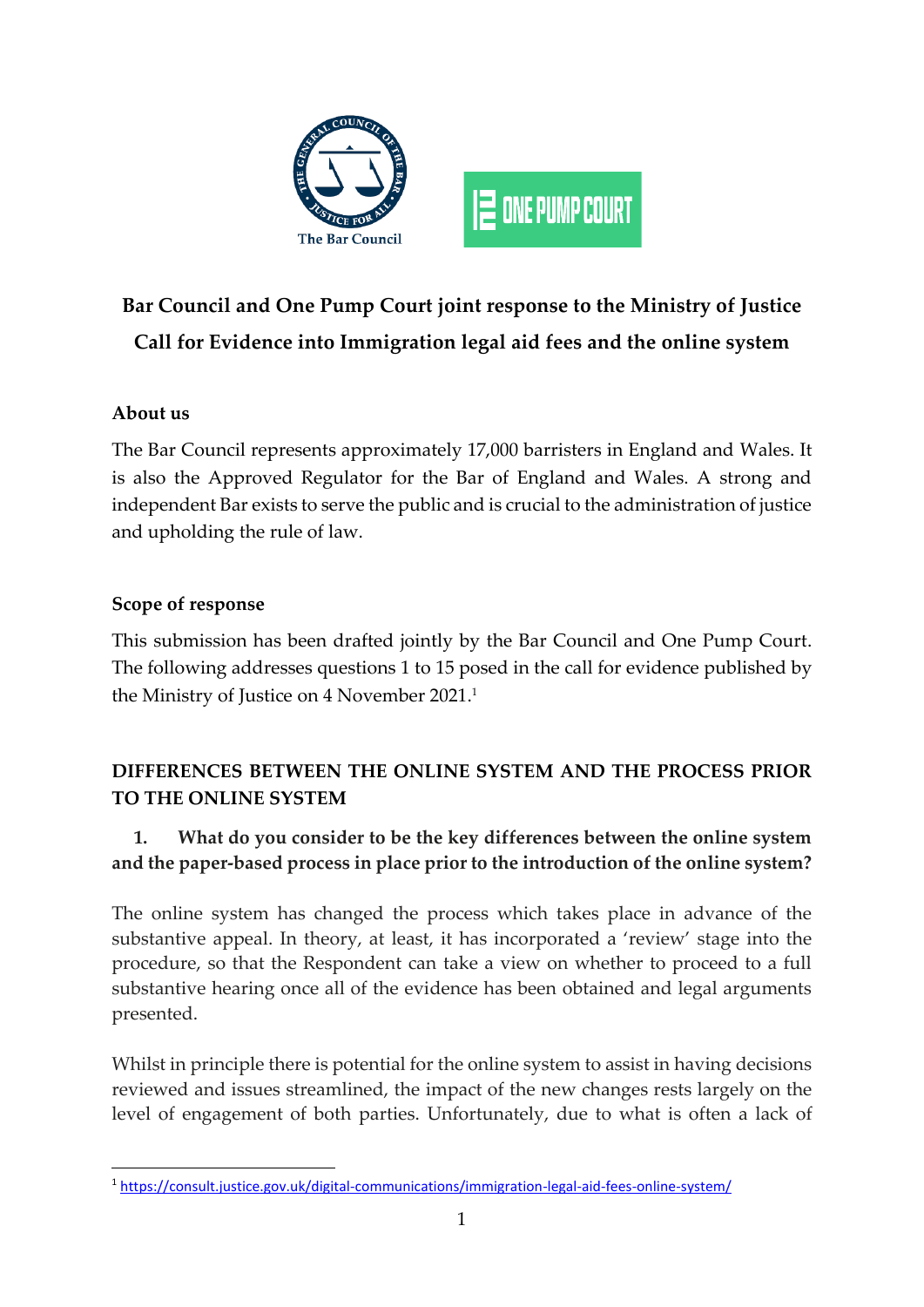

# **Bar Council and One Pump Court joint response to the Ministry of Justice Call for Evidence into Immigration legal aid fees and the online system**

## **About us**

The Bar Council represents approximately 17,000 barristers in England and Wales. It is also the Approved Regulator for the Bar of England and Wales. A strong and independent Bar exists to serve the public and is crucial to the administration of justice and upholding the rule of law.

#### **Scope of response**

This submission has been drafted jointly by the Bar Council and One Pump Court. The following addresses questions 1 to 15 posed in the call for evidence published by the Ministry of Justice on 4 November 2021. 1

# **DIFFERENCES BETWEEN THE ONLINE SYSTEM AND THE PROCESS PRIOR TO THE ONLINE SYSTEM**

# **1. What do you consider to be the key differences between the online system and the paper-based process in place prior to the introduction of the online system?**

The online system has changed the process which takes place in advance of the substantive appeal. In theory, at least, it has incorporated a 'review' stage into the procedure, so that the Respondent can take a view on whether to proceed to a full substantive hearing once all of the evidence has been obtained and legal arguments presented.

Whilst in principle there is potential for the online system to assist in having decisions reviewed and issues streamlined, the impact of the new changes rests largely on the level of engagement of both parties. Unfortunately, due to what is often a lack of

<sup>1</sup> <https://consult.justice.gov.uk/digital-communications/immigration-legal-aid-fees-online-system/>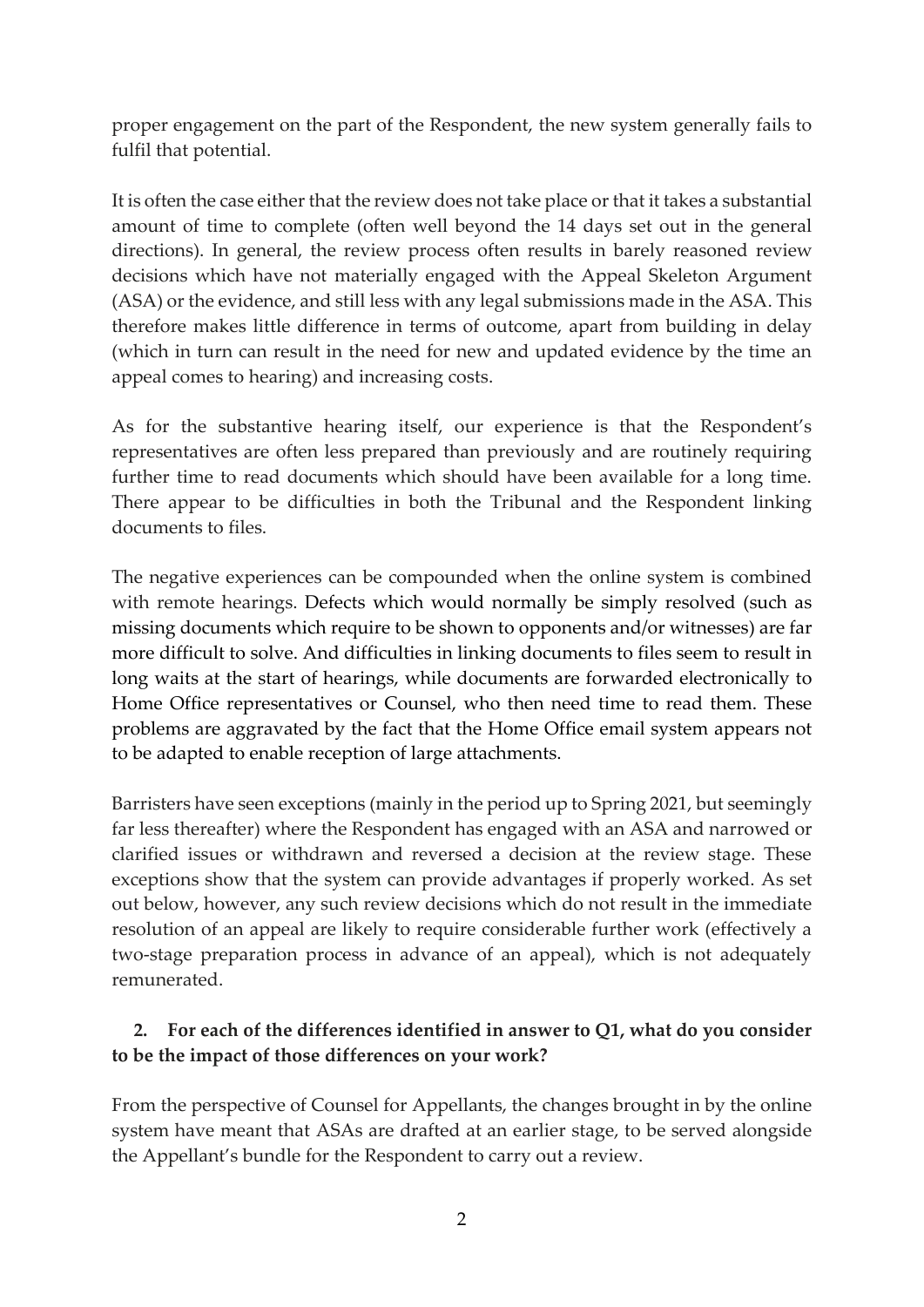proper engagement on the part of the Respondent, the new system generally fails to fulfil that potential.

It is often the case either that the review does not take place or that it takes a substantial amount of time to complete (often well beyond the 14 days set out in the general directions). In general, the review process often results in barely reasoned review decisions which have not materially engaged with the Appeal Skeleton Argument (ASA) or the evidence, and still less with any legal submissions made in the ASA. This therefore makes little difference in terms of outcome, apart from building in delay (which in turn can result in the need for new and updated evidence by the time an appeal comes to hearing) and increasing costs.

As for the substantive hearing itself, our experience is that the Respondent's representatives are often less prepared than previously and are routinely requiring further time to read documents which should have been available for a long time. There appear to be difficulties in both the Tribunal and the Respondent linking documents to files.

The negative experiences can be compounded when the online system is combined with remote hearings. Defects which would normally be simply resolved (such as missing documents which require to be shown to opponents and/or witnesses) are far more difficult to solve. And difficulties in linking documents to files seem to result in long waits at the start of hearings, while documents are forwarded electronically to Home Office representatives or Counsel, who then need time to read them. These problems are aggravated by the fact that the Home Office email system appears not to be adapted to enable reception of large attachments.

Barristers have seen exceptions (mainly in the period up to Spring 2021, but seemingly far less thereafter) where the Respondent has engaged with an ASA and narrowed or clarified issues or withdrawn and reversed a decision at the review stage. These exceptions show that the system can provide advantages if properly worked. As set out below, however, any such review decisions which do not result in the immediate resolution of an appeal are likely to require considerable further work (effectively a two-stage preparation process in advance of an appeal), which is not adequately remunerated.

#### **2. For each of the differences identified in answer to Q1, what do you consider to be the impact of those differences on your work?**

From the perspective of Counsel for Appellants, the changes brought in by the online system have meant that ASAs are drafted at an earlier stage, to be served alongside the Appellant's bundle for the Respondent to carry out a review.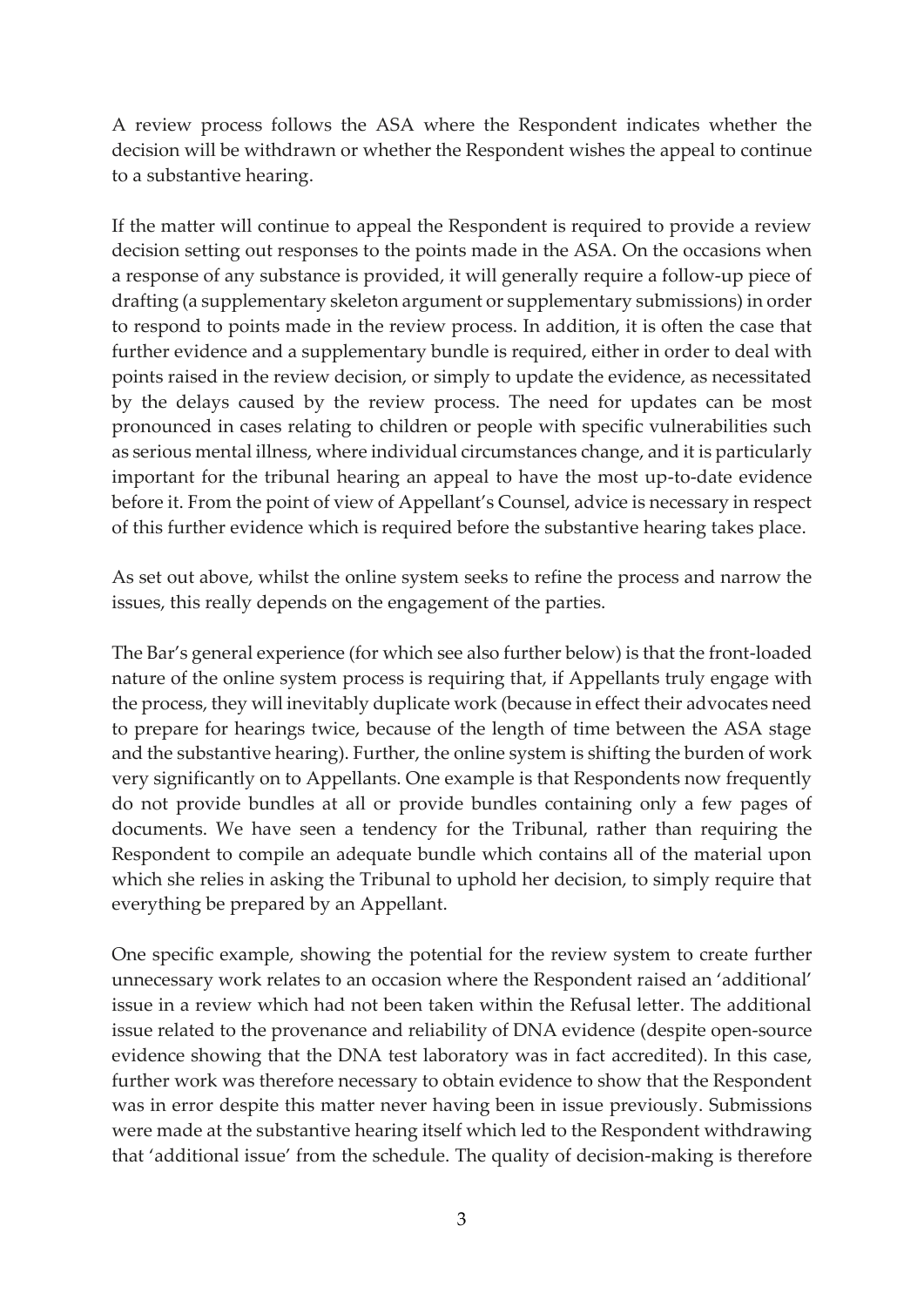A review process follows the ASA where the Respondent indicates whether the decision will be withdrawn or whether the Respondent wishes the appeal to continue to a substantive hearing.

If the matter will continue to appeal the Respondent is required to provide a review decision setting out responses to the points made in the ASA. On the occasions when a response of any substance is provided, it will generally require a follow-up piece of drafting (a supplementary skeleton argument or supplementary submissions) in order to respond to points made in the review process. In addition, it is often the case that further evidence and a supplementary bundle is required, either in order to deal with points raised in the review decision, or simply to update the evidence, as necessitated by the delays caused by the review process. The need for updates can be most pronounced in cases relating to children or people with specific vulnerabilities such as serious mental illness, where individual circumstances change, and it is particularly important for the tribunal hearing an appeal to have the most up-to-date evidence before it. From the point of view of Appellant's Counsel, advice is necessary in respect of this further evidence which is required before the substantive hearing takes place.

As set out above, whilst the online system seeks to refine the process and narrow the issues, this really depends on the engagement of the parties.

The Bar's general experience (for which see also further below) is that the front-loaded nature of the online system process is requiring that, if Appellants truly engage with the process, they will inevitably duplicate work (because in effect their advocates need to prepare for hearings twice, because of the length of time between the ASA stage and the substantive hearing). Further, the online system is shifting the burden of work very significantly on to Appellants. One example is that Respondents now frequently do not provide bundles at all or provide bundles containing only a few pages of documents. We have seen a tendency for the Tribunal, rather than requiring the Respondent to compile an adequate bundle which contains all of the material upon which she relies in asking the Tribunal to uphold her decision, to simply require that everything be prepared by an Appellant.

One specific example, showing the potential for the review system to create further unnecessary work relates to an occasion where the Respondent raised an 'additional' issue in a review which had not been taken within the Refusal letter. The additional issue related to the provenance and reliability of DNA evidence (despite open-source evidence showing that the DNA test laboratory was in fact accredited). In this case, further work was therefore necessary to obtain evidence to show that the Respondent was in error despite this matter never having been in issue previously. Submissions were made at the substantive hearing itself which led to the Respondent withdrawing that 'additional issue' from the schedule. The quality of decision-making is therefore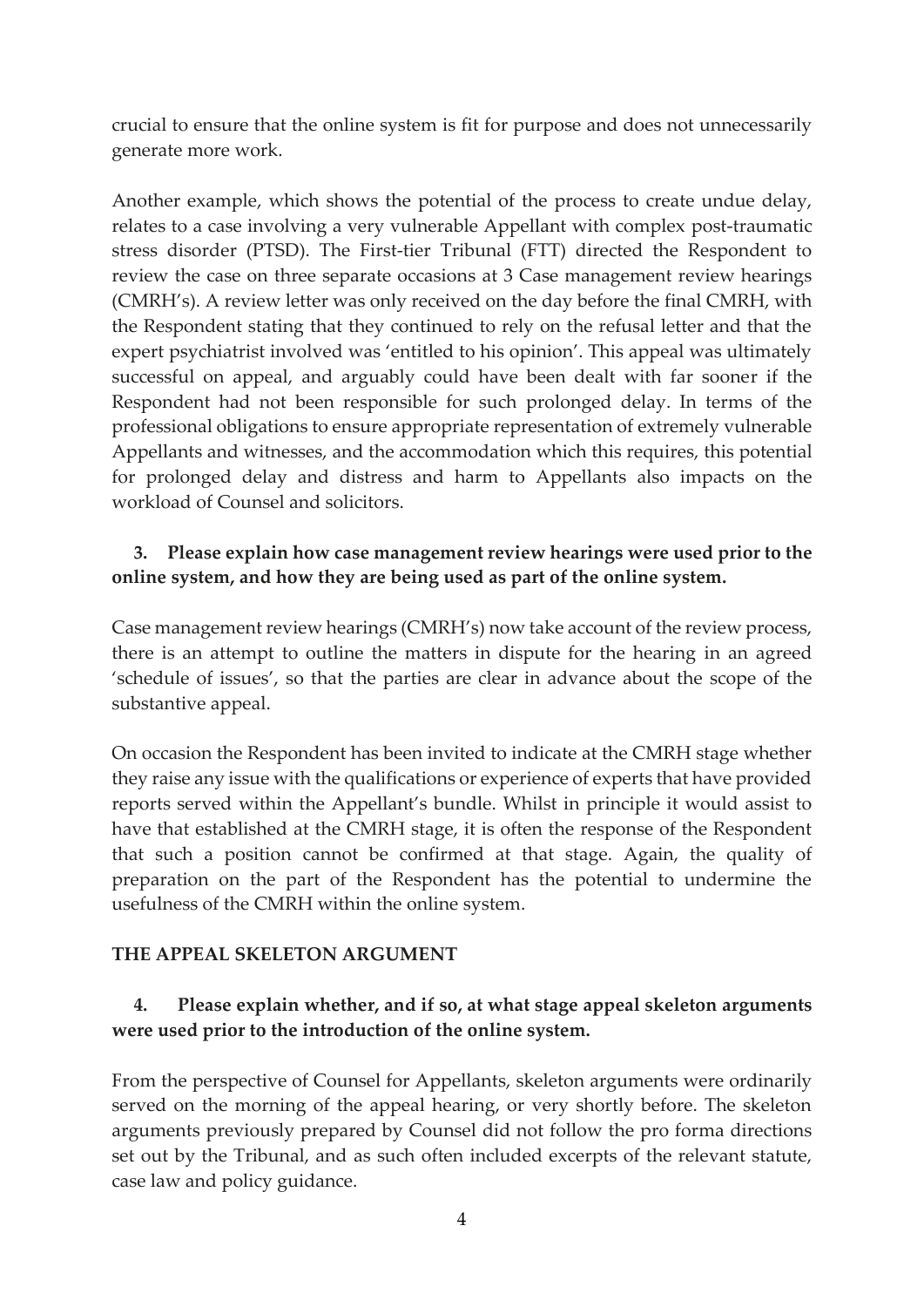crucial to ensure that the online system is fit for purpose and does not unnecessarily generate more work.

Another example, which shows the potential of the process to create undue delay, relates to a case involving a very vulnerable Appellant with complex post-traumatic stress disorder (PTSD). The First-tier Tribunal (FTT) directed the Respondent to review the case on three separate occasions at 3 Case management review hearings (CMRH's). A review letter was only received on the day before the final CMRH, with the Respondent stating that they continued to rely on the refusal letter and that the expert psychiatrist involved was 'entitled to his opinion'. This appeal was ultimately successful on appeal, and arguably could have been dealt with far sooner if the Respondent had not been responsible for such prolonged delay. In terms of the professional obligations to ensure appropriate representation of extremely vulnerable Appellants and witnesses, and the accommodation which this requires, this potential for prolonged delay and distress and harm to Appellants also impacts on the workload of Counsel and solicitors.

#### **3. Please explain how case management review hearings were used prior to the online system, and how they are being used as part of the online system.**

Case management review hearings (CMRH's) now take account of the review process, there is an attempt to outline the matters in dispute for the hearing in an agreed 'schedule of issues', so that the parties are clear in advance about the scope of the substantive appeal.

On occasion the Respondent has been invited to indicate at the CMRH stage whether they raise any issue with the qualifications or experience of experts that have provided reports served within the Appellant's bundle. Whilst in principle it would assist to have that established at the CMRH stage, it is often the response of the Respondent that such a position cannot be confirmed at that stage. Again, the quality of preparation on the part of the Respondent has the potential to undermine the usefulness of the CMRH within the online system.

#### **THE APPEAL SKELETON ARGUMENT**

#### **4. Please explain whether, and if so, at what stage appeal skeleton arguments were used prior to the introduction of the online system.**

From the perspective of Counsel for Appellants, skeleton arguments were ordinarily served on the morning of the appeal hearing, or very shortly before. The skeleton arguments previously prepared by Counsel did not follow the pro forma directions set out by the Tribunal, and as such often included excerpts of the relevant statute, case law and policy guidance.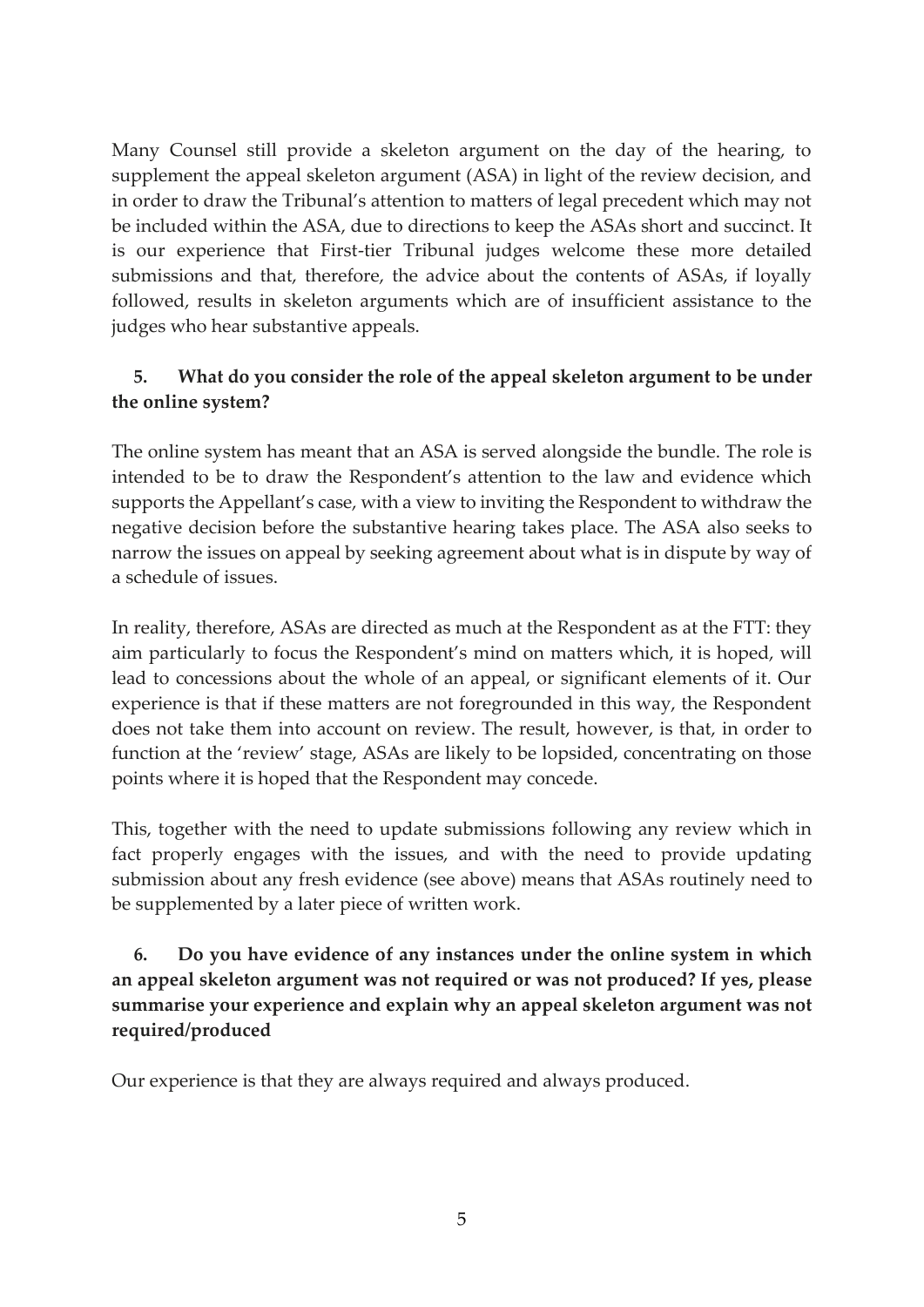Many Counsel still provide a skeleton argument on the day of the hearing, to supplement the appeal skeleton argument (ASA) in light of the review decision, and in order to draw the Tribunal's attention to matters of legal precedent which may not be included within the ASA, due to directions to keep the ASAs short and succinct. It is our experience that First-tier Tribunal judges welcome these more detailed submissions and that, therefore, the advice about the contents of ASAs, if loyally followed, results in skeleton arguments which are of insufficient assistance to the judges who hear substantive appeals.

#### **5. What do you consider the role of the appeal skeleton argument to be under the online system?**

The online system has meant that an ASA is served alongside the bundle. The role is intended to be to draw the Respondent's attention to the law and evidence which supports the Appellant's case, with a view to inviting the Respondent to withdraw the negative decision before the substantive hearing takes place. The ASA also seeks to narrow the issues on appeal by seeking agreement about what is in dispute by way of a schedule of issues.

In reality, therefore, ASAs are directed as much at the Respondent as at the FTT: they aim particularly to focus the Respondent's mind on matters which, it is hoped, will lead to concessions about the whole of an appeal, or significant elements of it. Our experience is that if these matters are not foregrounded in this way, the Respondent does not take them into account on review. The result, however, is that, in order to function at the 'review' stage, ASAs are likely to be lopsided, concentrating on those points where it is hoped that the Respondent may concede.

This, together with the need to update submissions following any review which in fact properly engages with the issues, and with the need to provide updating submission about any fresh evidence (see above) means that ASAs routinely need to be supplemented by a later piece of written work.

## **6. Do you have evidence of any instances under the online system in which an appeal skeleton argument was not required or was not produced? If yes, please summarise your experience and explain why an appeal skeleton argument was not required/produced**

Our experience is that they are always required and always produced.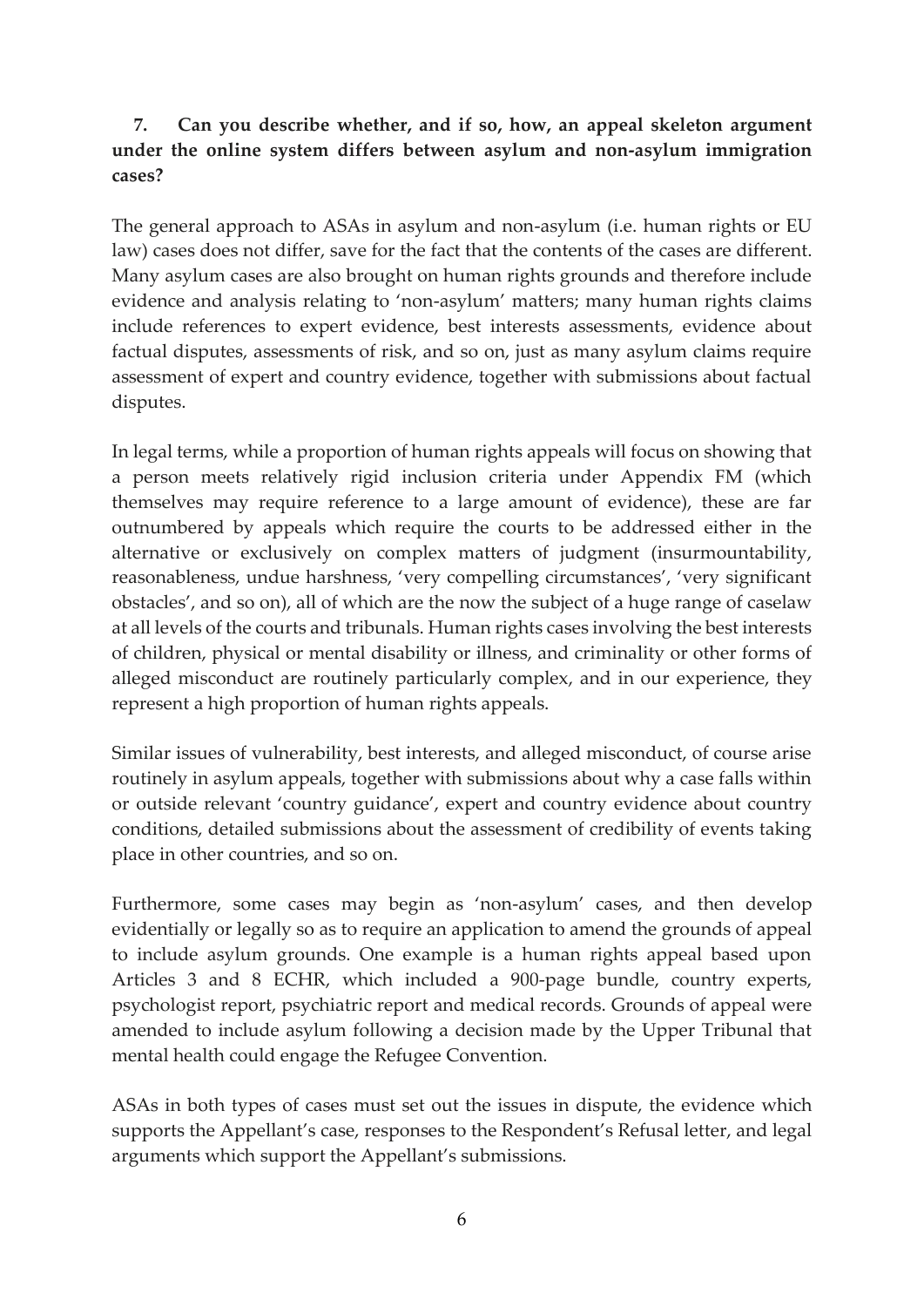#### **7. Can you describe whether, and if so, how, an appeal skeleton argument under the online system differs between asylum and non-asylum immigration cases?**

The general approach to ASAs in asylum and non-asylum (i.e. human rights or EU law) cases does not differ, save for the fact that the contents of the cases are different. Many asylum cases are also brought on human rights grounds and therefore include evidence and analysis relating to 'non-asylum' matters; many human rights claims include references to expert evidence, best interests assessments, evidence about factual disputes, assessments of risk, and so on, just as many asylum claims require assessment of expert and country evidence, together with submissions about factual disputes.

In legal terms, while a proportion of human rights appeals will focus on showing that a person meets relatively rigid inclusion criteria under Appendix FM (which themselves may require reference to a large amount of evidence), these are far outnumbered by appeals which require the courts to be addressed either in the alternative or exclusively on complex matters of judgment (insurmountability, reasonableness, undue harshness, 'very compelling circumstances', 'very significant obstacles', and so on), all of which are the now the subject of a huge range of caselaw at all levels of the courts and tribunals. Human rights cases involving the best interests of children, physical or mental disability or illness, and criminality or other forms of alleged misconduct are routinely particularly complex, and in our experience, they represent a high proportion of human rights appeals.

Similar issues of vulnerability, best interests, and alleged misconduct, of course arise routinely in asylum appeals, together with submissions about why a case falls within or outside relevant 'country guidance', expert and country evidence about country conditions, detailed submissions about the assessment of credibility of events taking place in other countries, and so on.

Furthermore, some cases may begin as 'non-asylum' cases, and then develop evidentially or legally so as to require an application to amend the grounds of appeal to include asylum grounds. One example is a human rights appeal based upon Articles 3 and 8 ECHR, which included a 900-page bundle, country experts, psychologist report, psychiatric report and medical records. Grounds of appeal were amended to include asylum following a decision made by the Upper Tribunal that mental health could engage the Refugee Convention.

ASAs in both types of cases must set out the issues in dispute, the evidence which supports the Appellant's case, responses to the Respondent's Refusal letter, and legal arguments which support the Appellant's submissions.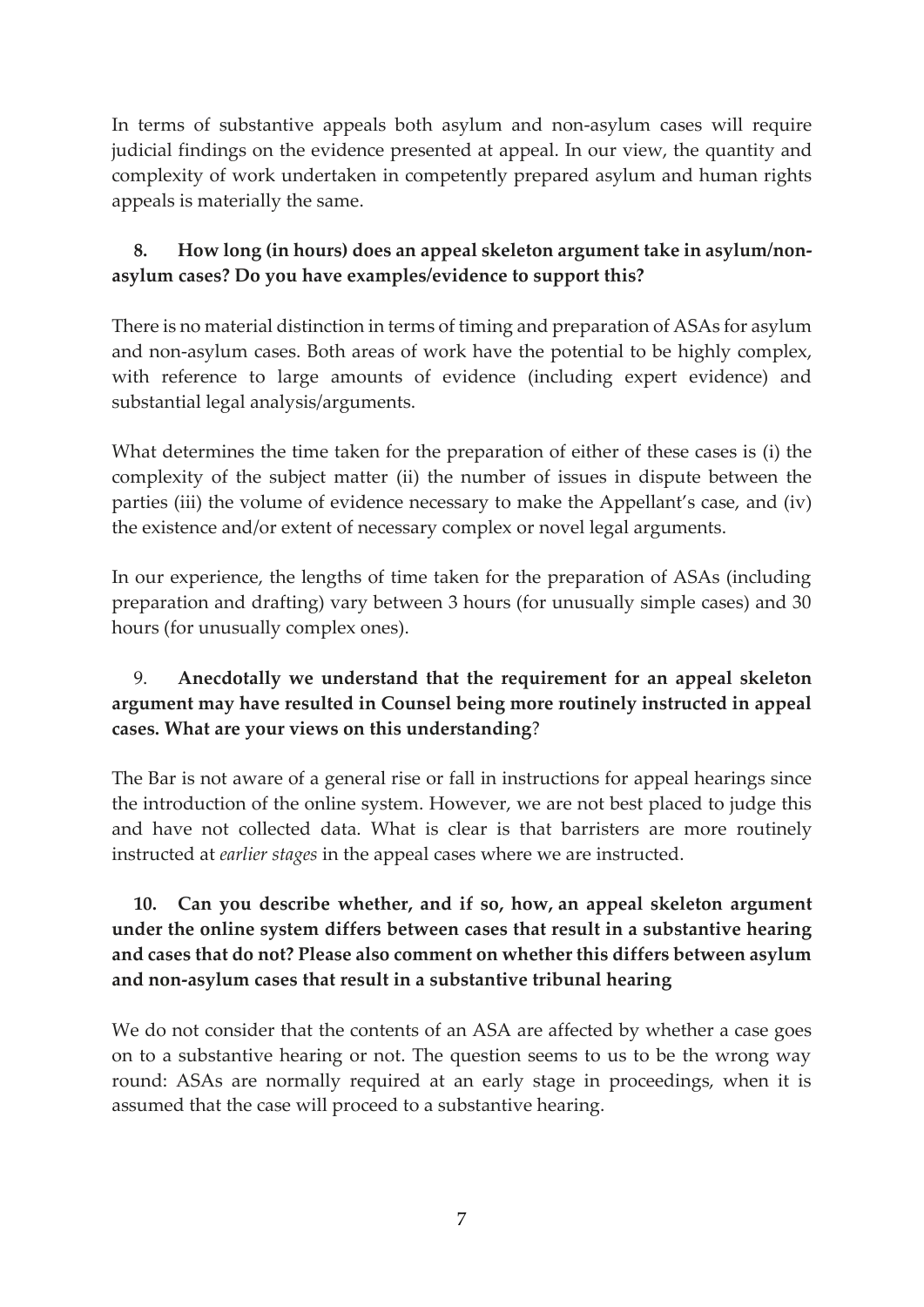In terms of substantive appeals both asylum and non-asylum cases will require judicial findings on the evidence presented at appeal. In our view, the quantity and complexity of work undertaken in competently prepared asylum and human rights appeals is materially the same.

## **8. How long (in hours) does an appeal skeleton argument take in asylum/nonasylum cases? Do you have examples/evidence to support this?**

There is no material distinction in terms of timing and preparation of ASAs for asylum and non-asylum cases. Both areas of work have the potential to be highly complex, with reference to large amounts of evidence (including expert evidence) and substantial legal analysis/arguments.

What determines the time taken for the preparation of either of these cases is (i) the complexity of the subject matter (ii) the number of issues in dispute between the parties (iii) the volume of evidence necessary to make the Appellant's case, and (iv) the existence and/or extent of necessary complex or novel legal arguments.

In our experience, the lengths of time taken for the preparation of ASAs (including preparation and drafting) vary between 3 hours (for unusually simple cases) and 30 hours (for unusually complex ones).

## 9. **Anecdotally we understand that the requirement for an appeal skeleton argument may have resulted in Counsel being more routinely instructed in appeal cases. What are your views on this understanding**?

The Bar is not aware of a general rise or fall in instructions for appeal hearings since the introduction of the online system. However, we are not best placed to judge this and have not collected data. What is clear is that barristers are more routinely instructed at *earlier stages* in the appeal cases where we are instructed.

## **10. Can you describe whether, and if so, how, an appeal skeleton argument under the online system differs between cases that result in a substantive hearing and cases that do not? Please also comment on whether this differs between asylum and non-asylum cases that result in a substantive tribunal hearing**

We do not consider that the contents of an ASA are affected by whether a case goes on to a substantive hearing or not. The question seems to us to be the wrong way round: ASAs are normally required at an early stage in proceedings, when it is assumed that the case will proceed to a substantive hearing.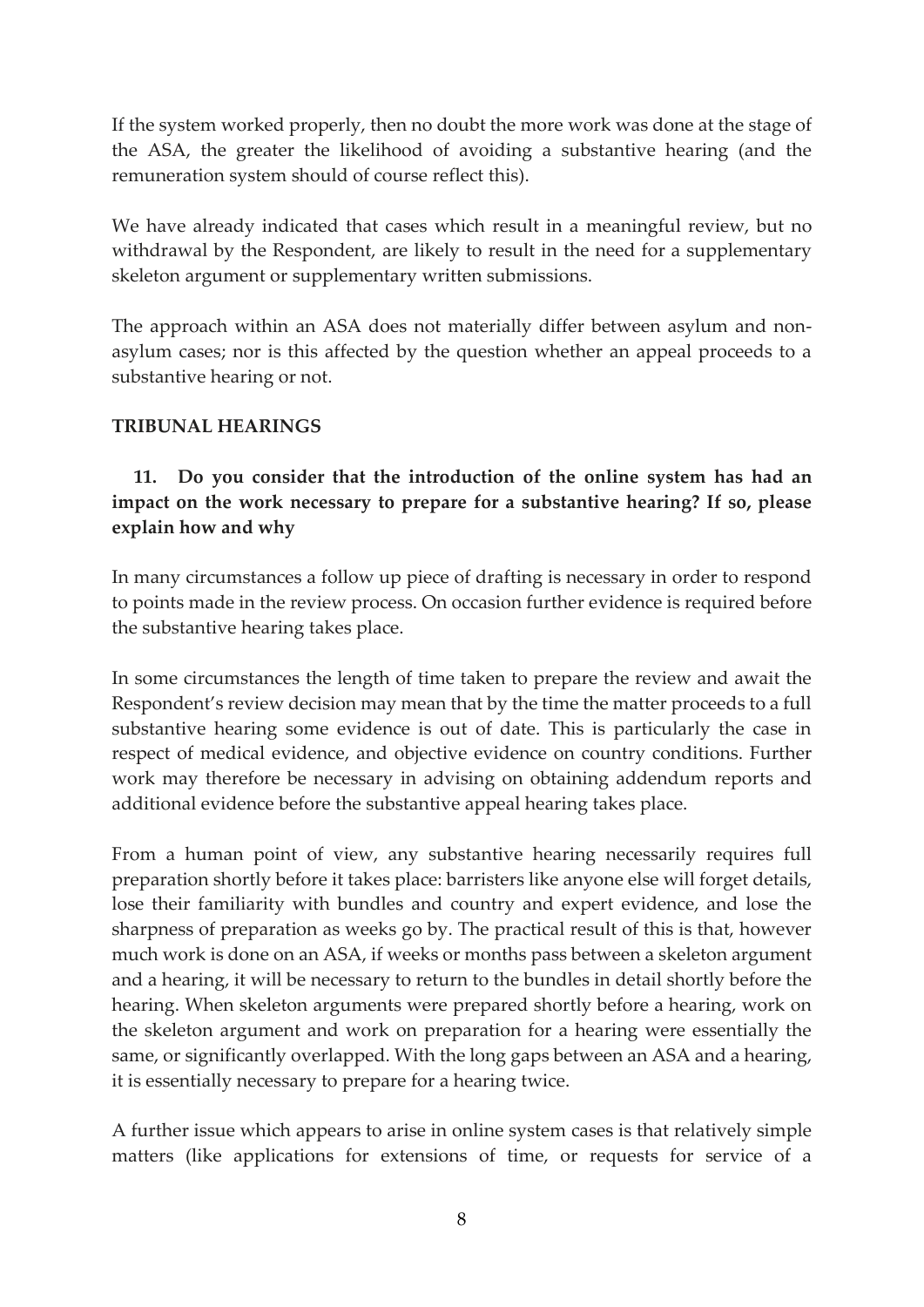If the system worked properly, then no doubt the more work was done at the stage of the ASA, the greater the likelihood of avoiding a substantive hearing (and the remuneration system should of course reflect this).

We have already indicated that cases which result in a meaningful review, but no withdrawal by the Respondent, are likely to result in the need for a supplementary skeleton argument or supplementary written submissions.

The approach within an ASA does not materially differ between asylum and nonasylum cases; nor is this affected by the question whether an appeal proceeds to a substantive hearing or not.

#### **TRIBUNAL HEARINGS**

## **11. Do you consider that the introduction of the online system has had an impact on the work necessary to prepare for a substantive hearing? If so, please explain how and why**

In many circumstances a follow up piece of drafting is necessary in order to respond to points made in the review process. On occasion further evidence is required before the substantive hearing takes place.

In some circumstances the length of time taken to prepare the review and await the Respondent's review decision may mean that by the time the matter proceeds to a full substantive hearing some evidence is out of date. This is particularly the case in respect of medical evidence, and objective evidence on country conditions. Further work may therefore be necessary in advising on obtaining addendum reports and additional evidence before the substantive appeal hearing takes place.

From a human point of view, any substantive hearing necessarily requires full preparation shortly before it takes place: barristers like anyone else will forget details, lose their familiarity with bundles and country and expert evidence, and lose the sharpness of preparation as weeks go by. The practical result of this is that, however much work is done on an ASA, if weeks or months pass between a skeleton argument and a hearing, it will be necessary to return to the bundles in detail shortly before the hearing. When skeleton arguments were prepared shortly before a hearing, work on the skeleton argument and work on preparation for a hearing were essentially the same, or significantly overlapped. With the long gaps between an ASA and a hearing, it is essentially necessary to prepare for a hearing twice.

A further issue which appears to arise in online system cases is that relatively simple matters (like applications for extensions of time, or requests for service of a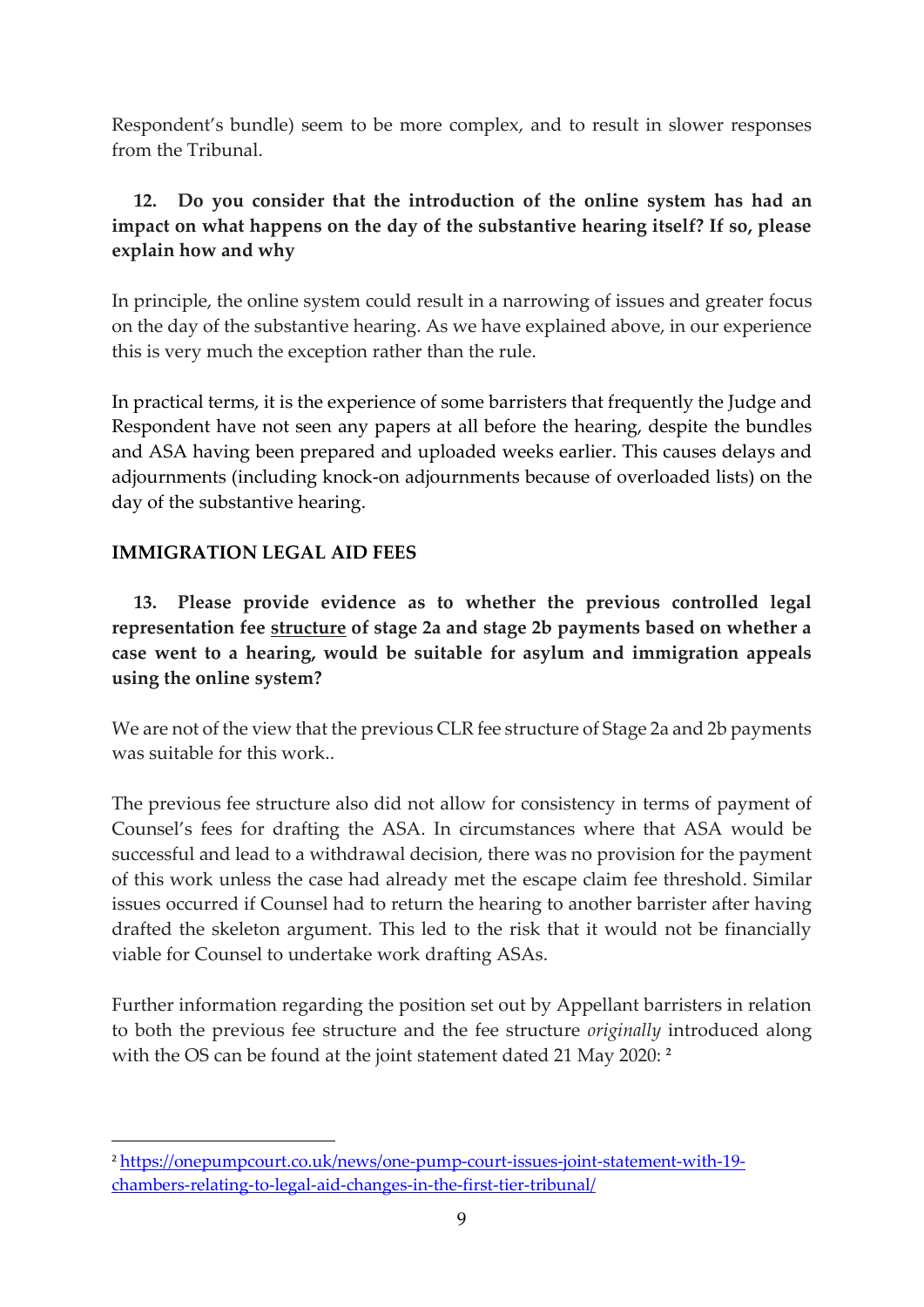Respondent's bundle) seem to be more complex, and to result in slower responses from the Tribunal.

## **12. Do you consider that the introduction of the online system has had an impact on what happens on the day of the substantive hearing itself? If so, please explain how and why**

In principle, the online system could result in a narrowing of issues and greater focus on the day of the substantive hearing. As we have explained above, in our experience this is very much the exception rather than the rule.

In practical terms, it is the experience of some barristers that frequently the Judge and Respondent have not seen any papers at all before the hearing, despite the bundles and ASA having been prepared and uploaded weeks earlier. This causes delays and adjournments (including knock-on adjournments because of overloaded lists) on the day of the substantive hearing.

#### **IMMIGRATION LEGAL AID FEES**

**13. Please provide evidence as to whether the previous controlled legal representation fee structure of stage 2a and stage 2b payments based on whether a case went to a hearing, would be suitable for asylum and immigration appeals using the online system?**

We are not of the view that the previous CLR fee structure of Stage 2a and 2b payments was suitable for this work..

The previous fee structure also did not allow for consistency in terms of payment of Counsel's fees for drafting the ASA. In circumstances where that ASA would be successful and lead to a withdrawal decision, there was no provision for the payment of this work unless the case had already met the escape claim fee threshold. Similar issues occurred if Counsel had to return the hearing to another barrister after having drafted the skeleton argument. This led to the risk that it would not be financially viable for Counsel to undertake work drafting ASAs.

Further information regarding the position set out by Appellant barristers in relation to both the previous fee structure and the fee structure *originally* introduced along with the OS can be found at the joint statement dated 21 May 2020: **<sup>2</sup>**

<sup>2</sup> [https://onepumpcourt.co.uk/news/one-pump-court-issues-joint-statement-with-19](https://onepumpcourt.co.uk/news/one-pump-court-issues-joint-statement-with-19-chambers-relating-to-legal-aid-changes-in-the-first-tier-tribunal/) [chambers-relating-to-legal-aid-changes-in-the-first-tier-tribunal/](https://onepumpcourt.co.uk/news/one-pump-court-issues-joint-statement-with-19-chambers-relating-to-legal-aid-changes-in-the-first-tier-tribunal/)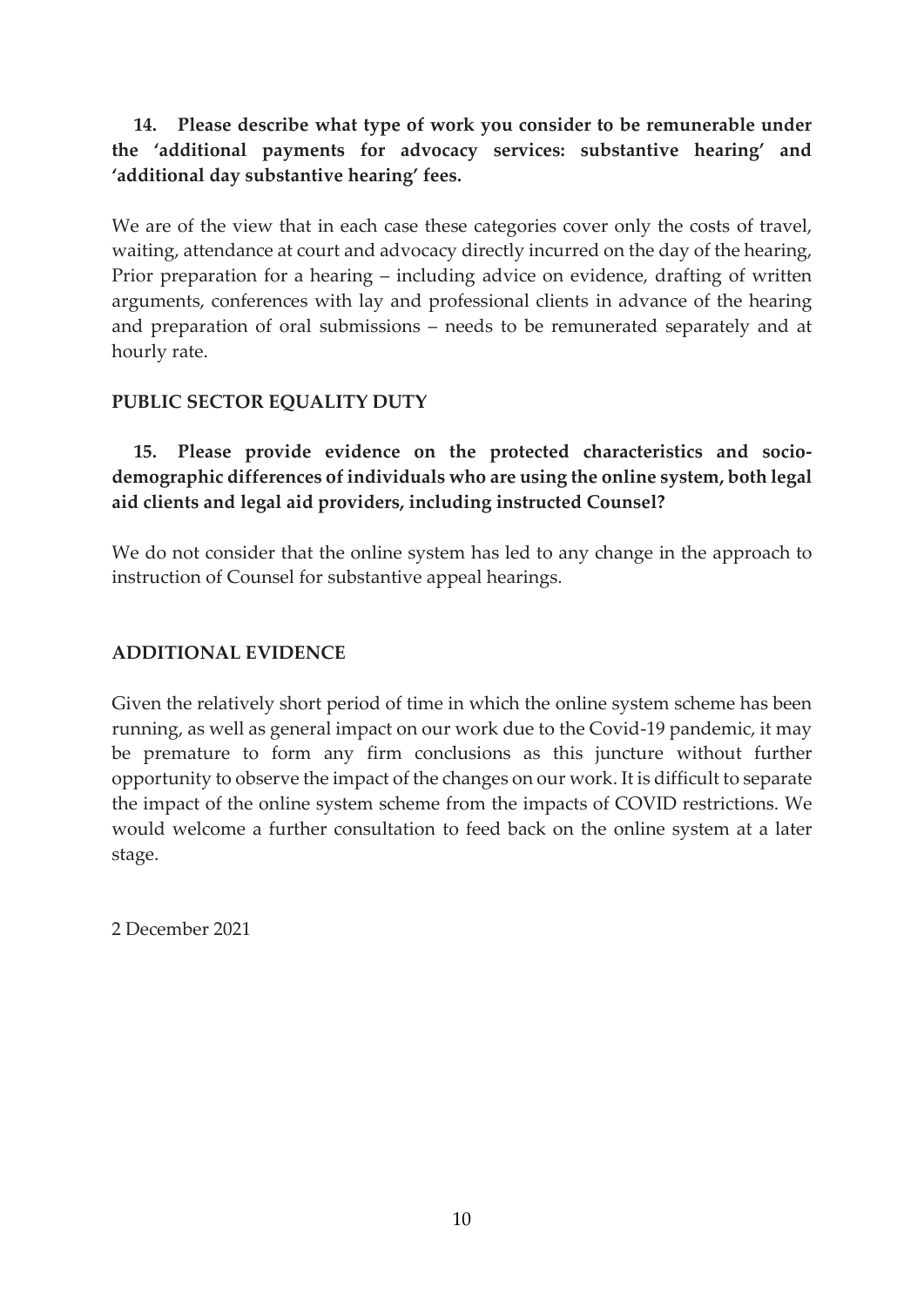## **14. Please describe what type of work you consider to be remunerable under the 'additional payments for advocacy services: substantive hearing' and 'additional day substantive hearing' fees.**

We are of the view that in each case these categories cover only the costs of travel, waiting, attendance at court and advocacy directly incurred on the day of the hearing, Prior preparation for a hearing – including advice on evidence, drafting of written arguments, conferences with lay and professional clients in advance of the hearing and preparation of oral submissions – needs to be remunerated separately and at hourly rate.

#### **PUBLIC SECTOR EQUALITY DUTY**

**15. Please provide evidence on the protected characteristics and sociodemographic differences of individuals who are using the online system, both legal aid clients and legal aid providers, including instructed Counsel?**

We do not consider that the online system has led to any change in the approach to instruction of Counsel for substantive appeal hearings.

#### **ADDITIONAL EVIDENCE**

Given the relatively short period of time in which the online system scheme has been running, as well as general impact on our work due to the Covid-19 pandemic, it may be premature to form any firm conclusions as this juncture without further opportunity to observe the impact of the changes on our work. It is difficult to separate the impact of the online system scheme from the impacts of COVID restrictions. We would welcome a further consultation to feed back on the online system at a later stage.

2 December 2021